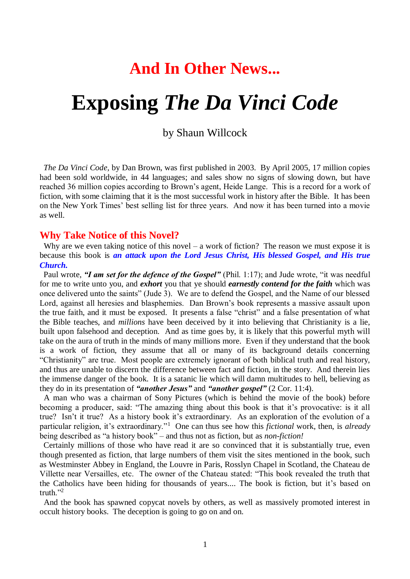## **And In Other News...**

# **Exposing** *The Da Vinci Code*

by Shaun Willcock

 *The Da Vinci Code,* by Dan Brown, was first published in 2003. By April 2005, 17 million copies had been sold worldwide, in 44 languages; and sales show no signs of slowing down, but have reached 36 million copies according to Brown's agent, Heide Lange. This is a record for a work of fiction, with some claiming that it is the most successful work in history after the Bible. It has been on the New York Times' best selling list for three years. And now it has been turned into a movie as well.

#### **Why Take Notice of this Novel?**

Why are we even taking notice of this novel – a work of fiction? The reason we must expose it is because this book is *an attack upon the Lord Jesus Christ, His blessed Gospel, and His true Church.*

 Paul wrote, *"I am set for the defence of the Gospel"* (Phil. 1:17); and Jude wrote, "it was needful for me to write unto you, and *exhort* you that ye should *earnestly contend for the faith* which was once delivered unto the saints" (Jude 3). We are to defend the Gospel, and the Name of our blessed Lord, against all heresies and blasphemies. Dan Brown's book represents a massive assault upon the true faith, and it must be exposed. It presents a false "christ" and a false presentation of what the Bible teaches, and *millions* have been deceived by it into believing that Christianity is a lie, built upon falsehood and deception. And as time goes by, it is likely that this powerful myth will take on the aura of truth in the minds of many millions more. Even if they understand that the book is a work of fiction, they assume that all or many of its background details concerning "Christianity" are true. Most people are extremely ignorant of both biblical truth and real history, and thus are unable to discern the difference between fact and fiction, in the story. And therein lies the immense danger of the book. It is a satanic lie which will damn multitudes to hell, believing as they do in its presentation of *"another Jesus"* and *"another gospel"* (2 Cor. 11:4).

 A man who was a chairman of Sony Pictures (which is behind the movie of the book) before becoming a producer, said: "The amazing thing about this book is that it's provocative: is it all true? Isn't it true? As a history book it's extraordinary. As an exploration of the evolution of a particular religion, it's extraordinary."<sup>1</sup> One can thus see how this *fictional* work, then, is *already* being described as "a history book" – and thus not as fiction, but as *non-fiction!*

 Certainly millions of those who have read it are so convinced that it is substantially true, even though presented as fiction, that large numbers of them visit the sites mentioned in the book, such as Westminster Abbey in England, the Louvre in Paris, Rosslyn Chapel in Scotland, the Chateau de Villette near Versailles, etc. The owner of the Chateau stated: "This book revealed the truth that the Catholics have been hiding for thousands of years.... The book is fiction, but it's based on truth $"2$ 

 And the book has spawned copycat novels by others, as well as massively promoted interest in occult history books. The deception is going to go on and on.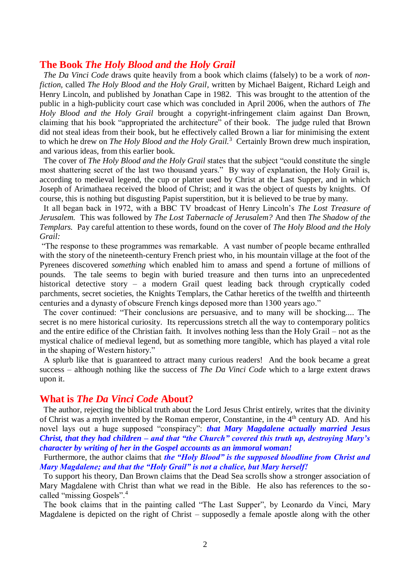#### **The Book** *The Holy Blood and the Holy Grail*

 *The Da Vinci Code* draws quite heavily from a book which claims (falsely) to be a work of *nonfiction,* called *The Holy Blood and the Holy Grail,* written by Michael Baigent, Richard Leigh and Henry Lincoln, and published by Jonathan Cape in 1982. This was brought to the attention of the public in a high-publicity court case which was concluded in April 2006, when the authors of *The Holy Blood and the Holy Grail* brought a copyright-infringement claim against Dan Brown, claiming that his book "appropriated the architecture" of their book. The judge ruled that Brown did not steal ideas from their book, but he effectively called Brown a liar for minimising the extent to which he drew on *The Holy Blood and the Holy Grail.*<sup>3</sup> Certainly Brown drew much inspiration, and various ideas, from this earlier book.

 The cover of *The Holy Blood and the Holy Grail* states that the subject "could constitute the single most shattering secret of the last two thousand years." By way of explanation, the Holy Grail is, according to medieval legend, the cup or platter used by Christ at the Last Supper, and in which Joseph of Arimathaea received the blood of Christ; and it was the object of quests by knights. Of course, this is nothing but disgusting Papist superstition, but it is believed to be true by many.

 It all began back in 1972, with a BBC TV broadcast of Henry Lincoln's *The Lost Treasure of Jerusalem.* This was followed by *The Lost Tabernacle of Jerusalem?* And then *The Shadow of the Templars.* Pay careful attention to these words, found on the cover of *The Holy Blood and the Holy Grail:*

"The response to these programmes was remarkable. A vast number of people became enthralled with the story of the nineteenth-century French priest who, in his mountain village at the foot of the Pyrenees discovered *something* which enabled him to amass and spend a fortune of millions of pounds. The tale seems to begin with buried treasure and then turns into an unprecedented historical detective story – a modern Grail quest leading back through cryptically coded parchments, secret societies, the Knights Templars, the Cathar heretics of the twelfth and thirteenth centuries and a dynasty of obscure French kings deposed more than 1300 years ago."

 The cover continued: "Their conclusions are persuasive, and to many will be shocking.... The secret is no mere historical curiosity. Its repercussions stretch all the way to contemporary politics and the entire edifice of the Christian faith. It involves nothing less than the Holy Grail – not as the mystical chalice of medieval legend, but as something more tangible, which has played a vital role in the shaping of Western history."

 A splurb like that is guaranteed to attract many curious readers! And the book became a great success – although nothing like the success of *The Da Vinci Code* which to a large extent draws upon it.

#### **What is** *The Da Vinci Code* **About?**

 The author, rejecting the biblical truth about the Lord Jesus Christ entirely, writes that the divinity of Christ was a myth invented by the Roman emperor, Constantine, in the 4<sup>th</sup> century AD. And his novel lays out a huge supposed "conspiracy": *that Mary Magdalene actually married Jesus Christ, that they had children – and that "the Church" covered this truth up, destroying Mary's character by writing of her in the Gospel accounts as an immoral woman!*

 Furthermore, the author claims that *the "Holy Blood" is the supposed bloodline from Christ and Mary Magdalene; and that the "Holy Grail" is not a chalice, but Mary herself!*

 To support his theory, Dan Brown claims that the Dead Sea scrolls show a stronger association of Mary Magdalene with Christ than what we read in the Bible. He also has references to the socalled "missing Gospels".<sup>4</sup>

 The book claims that in the painting called "The Last Supper", by Leonardo da Vinci, Mary Magdalene is depicted on the right of Christ – supposedly a female apostle along with the other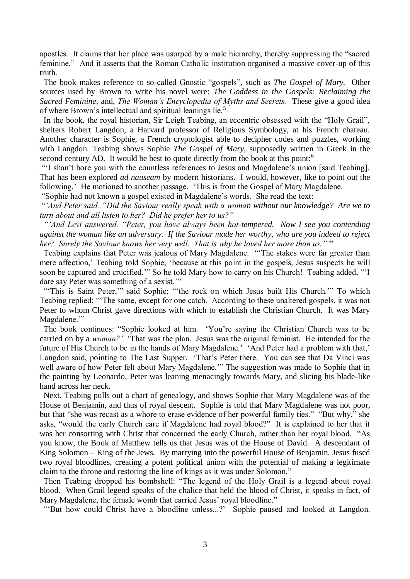apostles. It claims that her place was usurped by a male hierarchy, thereby suppressing the "sacred feminine." And it asserts that the Roman Catholic institution organised a massive cover-up of this truth.

 The book makes reference to so-called Gnostic "gospels", such as *The Gospel of Mary.* Other sources used by Brown to write his novel were: *The Goddess in the Gospels: Reclaiming the Sacred Feminine,* and, *The Woman's Encyclopedia of Myths and Secrets.* These give a good idea of where Brown's intellectual and spiritual leanings lie.<sup>5</sup>

 In the book, the royal historian, Sir Leigh Teabing, an eccentric obsessed with the "Holy Grail", shelters Robert Langdon, a Harvard professor of Religious Symbology, at his French chateau. Another character is Sophie, a French cryptologist able to decipher codes and puzzles, working with Langdon. Teabing shows Sophie *The Gospel of Mary,* supposedly written in Greek in the second century AD. It would be best to quote directly from the book at this point:<sup>6</sup>

"'I shan't bore you with the countless references to Jesus and Magdalene's union [said Teabing]. That has been explored *ad nauseam* by modern historians. I would, however, like to point out the following.' He motioned to another passage. 'This is from the Gospel of Mary Magdalene.

"Sophie had not known a gospel existed in Magdalene's words. She read the text:

"*'And Peter said, "Did the Saviour really speak with a woman without our knowledge? Are we to turn about and all listen to her? Did he prefer her to us?"*

 *"'And Levi answered, "Peter, you have always been hot-tempered. Now I see you contending against the woman like an adversary. If the Saviour made her worthy, who are you indeed to reject her? Surely the Saviour knows her very well. That is why he loved her more than us."'*"

 Teabing explains that Peter was jealous of Mary Magdalene. "'The stakes were far greater than mere affection,' Teabing told Sophie, 'because at this point in the gospels, Jesus suspects he will soon be captured and crucified.'" So he told Mary how to carry on his Church! Teabing added, "'I dare say Peter was something of a sexist."

"This is Saint Peter," said Sophie; "'the rock on which Jesus built His Church." To which Teabing replied: "'The same, except for one catch. According to these unaltered gospels, it was not Peter to whom Christ gave directions with which to establish the Christian Church. It was Mary Magdalene."

 The book continues: "Sophie looked at him. 'You're saying the Christian Church was to be carried on by a *woman?'* 'That was the plan. Jesus was the original feminist. He intended for the future of His Church to be in the hands of Mary Magdalene.' 'And Peter had a problem with that,' Langdon said, pointing to The Last Supper. 'That's Peter there. You can see that Da Vinci was well aware of how Peter felt about Mary Magdalene.'" The suggestion was made to Sophie that in the painting by Leonardo, Peter was leaning menacingly towards Mary, and slicing his blade-like hand across her neck.

 Next, Teabing pulls out a chart of genealogy, and shows Sophie that Mary Magdalene was of the House of Benjamin, and thus of royal descent. Sophie is told that Mary Magdalene was not poor, but that "she was recast as a whore to erase evidence of her powerful family ties." "But why," she asks, "would the early Church care if Magdalene had royal blood?" It is explained to her that it was her consorting with Christ that concerned the early Church, rather than her royal blood. "As you know, the Book of Matthew tells us that Jesus was of the House of David. A descendant of King Solomon – King of the Jews. By marrying into the powerful House of Benjamin, Jesus fused two royal bloodlines, creating a potent political union with the potential of making a legitimate claim to the throne and restoring the line of kings as it was under Solomon."

 Then Teabing dropped his bombshell: "The legend of the Holy Grail is a legend about royal blood. When Grail legend speaks of the chalice that held the blood of Christ, it speaks in fact, of Mary Magdalene, the female womb that carried Jesus' royal bloodline."

"But how could Christ have a bloodline unless...?' Sophie paused and looked at Langdon.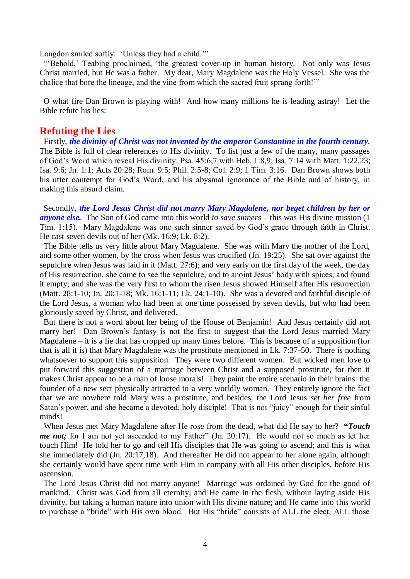Langdon smiled softly. 'Unless they had a child.'"

"'Behold,' Teabing proclaimed, 'the greatest cover-up in human history. Not only was Jesus Christ married, but He was a father. My dear, Mary Magdalene was the Holy Vessel. She was the chalice that bore the lineage, and the vine from which the sacred fruit sprang forth!'"

 O what fire Dan Brown is playing with! And how many millions he is leading astray! Let the Bible refute his lies:

#### **Refuting the Lies**

 Firstly, *the divinity of Christ was not invented by the emperor Constantine in the fourth century.*  The Bible is full of clear references to His divinity. To list just a few of the many, many passages of God's Word which reveal His divinity: Psa. 45:6,7 with Heb. 1:8,9; Isa. 7:14 with Matt. 1:22,23; Isa. 9:6; Jn. 1:1; Acts 20:28; Rom. 9:5; Phil. 2:5-8; Col. 2:9; 1 Tim. 3:16. Dan Brown shows both his utter contempt for God's Word, and his abysmal ignorance of the Bible and of history, in making this absurd claim.

 Secondly, *the Lord Jesus Christ did not marry Mary Magdalene, nor beget children by her or anyone else.* The Son of God came into this world *to save sinners* – this was His divine mission (1 Tim. 1:15). Mary Magdalene was one such sinner saved by God's grace through faith in Christ. He cast seven devils out of her (Mk. 16:9; Lk. 8:2).

 The Bible tells us very little about Mary Magdalene. She was with Mary the mother of the Lord, and some other women, by the cross when Jesus was crucified (Jn. 19:25). She sat over against the sepulchre when Jesus was laid in it (Matt. 27:6); and very early on the first day of the week, the day of His resurrection, she came to see the sepulchre, and to anoint Jesus' body with spices, and found it empty; and she was the very first to whom the risen Jesus showed Himself after His resurrection (Matt. 28:1-10; Jn. 20:1-18; Mk. 16:1-11; Lk. 24:1-10). She was a devoted and faithful disciple of the Lord Jesus, a woman who had been at one time possessed by seven devils, but who had been gloriously saved by Christ, and delivered.

 But there is not a word about her being of the House of Benjamin! And Jesus certainly did not marry her! Dan Brown's fantasy is not the first to suggest that the Lord Jesus married Mary Magdalene – it is a lie that has cropped up many times before. This is because of a supposition (for that is all it is) that Mary Magdalene was the prostitute mentioned in Lk. 7:37-50. There is nothing whatsoever to support this supposition. They were two different women. But wicked men love to put forward this suggestion of a marriage between Christ and a supposed prostitute, for then it makes Christ appear to be a man of loose morals! They paint the entire scenario in their brains: the founder of a new sect physically attracted to a very worldly woman. They entirely ignore the fact that we are nowhere told Mary was a prostitute, and besides, the Lord Jesus *set her free* from Satan's power, and she became a devoted, holy disciple! That is not "juicy" enough for their sinful minds!

When Jesus met Mary Magdalene after He rose from the dead, what did He say to her? **"***Touch me not;* for I am not yet ascended to my Father" (Jn. 20:17). He would not so much as let her touch Him! He told her to go and tell His disciples that He was going to ascend; and this is what she immediately did (Jn. 20:17,18). And thereafter He did not appear to her alone again, although she certainly would have spent time with Him in company with all His other disciples, before His ascension.

 The Lord Jesus Christ did not marry anyone! Marriage was ordained by God for the good of mankind. Christ was God from all eternity; and He came in the flesh, without laying aside His divinity, but taking a human nature into union with His divine nature; and He came into this world to purchase a "bride" with His own blood. But His "bride" consists of ALL the elect, ALL those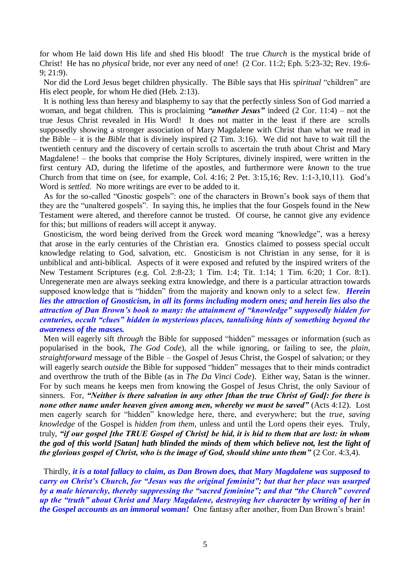for whom He laid down His life and shed His blood! The true *Church* is the mystical bride of Christ! He has no *physical* bride, nor ever any need of one! (2 Cor. 11:2; Eph. 5:23-32; Rev. 19:6- 9; 21:9).

 Nor did the Lord Jesus beget children physically. The Bible says that His *spiritual* "children" are His elect people, for whom He died (Heb. 2:13).

 It is nothing less than heresy and blasphemy to say that the perfectly sinless Son of God married a woman, and begat children. This is proclaiming *"another Jesus"* indeed (2 Cor. 11:4) – not the true Jesus Christ revealed in His Word! It does not matter in the least if there are scrolls supposedly showing a stronger association of Mary Magdalene with Christ than what we read in the Bible – it is the *Bible* that is divinely inspired (2 Tim. 3:16). We did not have to wait till the twentieth century and the discovery of certain scrolls to ascertain the truth about Christ and Mary Magdalene! – the books that comprise the Holy Scriptures, divinely inspired, were written in the first century AD, during the lifetime of the apostles, and furthermore were *known* to the true Church from that time on (see, for example, Col. 4:16; 2 Pet. 3:15,16; Rev. 1:1-3,10,11). God's Word is *settled.* No more writings are ever to be added to it.

 As for the so-called "Gnostic gospels": one of the characters in Brown's book says of them that they are the "unaltered gospels". In saying this, he implies that the four Gospels found in the New Testament were altered, and therefore cannot be trusted. Of course, he cannot give any evidence for this; but millions of readers will accept it anyway.

 Gnosticism, the word being derived from the Greek word meaning "knowledge", was a heresy that arose in the early centuries of the Christian era. Gnostics claimed to possess special occult knowledge relating to God, salvation, etc. Gnosticism is not Christian in any sense, for it is unbiblical and anti-biblical. Aspects of it were exposed and refuted by the inspired writers of the New Testament Scriptures (e.g. Col. 2:8-23; 1 Tim. 1:4; Tit. 1:14; 1 Tim. 6:20; 1 Cor. 8:1). Unregenerate men are always seeking extra knowledge, and there is a particular attraction towards supposed knowledge that is "hidden" from the majority and known only to a select few. *Herein lies the attraction of Gnosticism, in all its forms including modern ones; and herein lies also the attraction of Dan Brown's book to many: the attainment of "knowledge" supposedly hidden for centuries, occult "clues" hidden in mysterious places, tantalising hints of something beyond the awareness of the masses.*

 Men will eagerly sift *through* the Bible for supposed "hidden" messages or information (such as popularised in the book, *The God Code*), all the while ignoring, or failing to see, the *plain, straightforward* message of the Bible – the Gospel of Jesus Christ, the Gospel of salvation; or they will eagerly search *outside* the Bible for supposed "hidden" messages that to their minds contradict and overthrow the truth of the Bible (as in *The Da Vinci Code*). Either way, Satan is the winner. For by such means he keeps men from knowing the Gospel of Jesus Christ, the only Saviour of sinners. For, *"Neither is there salvation in any other [than the true Christ of God]: for there is none other name under heaven given among men, whereby we must be saved"* (Acts 4:12). Lost men eagerly search for "hidden" knowledge here, there, and everywhere; but the *true, saving knowledge* of the Gospel is *hidden from them,* unless and until the Lord opens their eyes. Truly, truly, *"if our gospel [the TRUE Gospel of Christ] be hid, it is hid to them that are lost: in whom the god of this world [Satan] hath blinded the minds of them which believe not, lest the light of the glorious gospel of Christ, who is the image of God, should shine unto them*  $\degree$  (2 Cor. 4:3,4).

 Thirdly, *it is a total fallacy to claim, as Dan Brown does, that Mary Magdalene was supposed to carry on Christ's Church, for "Jesus was the original feminist"; but that her place was usurped by a male hierarchy, thereby suppressing the "sacred feminine"; and that "the Church" covered up the "truth" about Christ and Mary Magdalene, destroying her character by writing of her in the Gospel accounts as an immoral woman!* One fantasy after another, from Dan Brown's brain!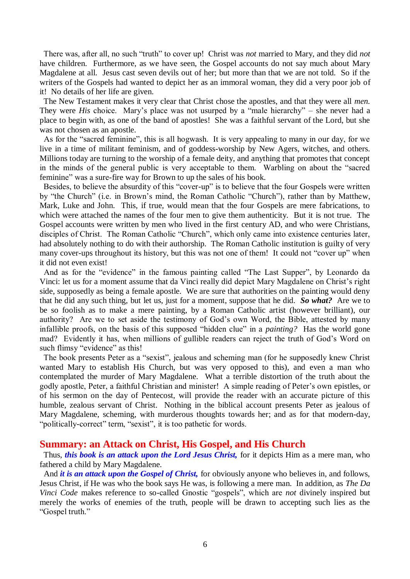There was, after all, no such "truth" to cover up! Christ was *not* married to Mary, and they did *not* have children. Furthermore, as we have seen, the Gospel accounts do not say much about Mary Magdalene at all. Jesus cast seven devils out of her; but more than that we are not told. So if the writers of the Gospels had wanted to depict her as an immoral woman, they did a very poor job of it! No details of her life are given.

 The New Testament makes it very clear that Christ chose the apostles, and that they were all *men.* They were *His* choice. Mary's place was not usurped by a "male hierarchy" – she never had a place to begin with, as one of the band of apostles! She was a faithful servant of the Lord, but she was not chosen as an apostle.

 As for the "sacred feminine", this is all hogwash. It is very appealing to many in our day, for we live in a time of militant feminism, and of goddess-worship by New Agers, witches, and others. Millions today are turning to the worship of a female deity, and anything that promotes that concept in the minds of the general public is very acceptable to them. Warbling on about the "sacred feminine" was a sure-fire way for Brown to up the sales of his book.

 Besides, to believe the absurdity of this "cover-up" is to believe that the four Gospels were written by "the Church" (i.e. in Brown's mind, the Roman Catholic "Church"), rather than by Matthew, Mark, Luke and John. This, if true, would mean that the four Gospels are mere fabrications, to which were attached the names of the four men to give them authenticity. But it is not true. The Gospel accounts were written by men who lived in the first century AD, and who were Christians, disciples of Christ. The Roman Catholic "Church", which only came into existence centuries later, had absolutely nothing to do with their authorship. The Roman Catholic institution is guilty of very many cover-ups throughout its history, but this was not one of them! It could not "cover up" when it did not even exist!

 And as for the "evidence" in the famous painting called "The Last Supper", by Leonardo da Vinci: let us for a moment assume that da Vinci really did depict Mary Magdalene on Christ's right side, supposedly as being a female apostle. We are sure that authorities on the painting would deny that he did any such thing, but let us, just for a moment, suppose that he did. *So what?* Are we to be so foolish as to make a mere painting, by a Roman Catholic artist (however brilliant), our authority? Are we to set aside the testimony of God's own Word, the Bible, attested by many infallible proofs, on the basis of this supposed "hidden clue" in a *painting?* Has the world gone mad? Evidently it has, when millions of gullible readers can reject the truth of God's Word on such flimsy "evidence" as this!

 The book presents Peter as a "sexist", jealous and scheming man (for he supposedly knew Christ wanted Mary to establish His Church, but was very opposed to this), and even a man who contemplated the murder of Mary Magdalene. What a terrible distortion of the truth about the godly apostle, Peter, a faithful Christian and minister! A simple reading of Peter's own epistles, or of his sermon on the day of Pentecost, will provide the reader with an accurate picture of this humble, zealous servant of Christ. Nothing in the biblical account presents Peter as jealous of Mary Magdalene, scheming, with murderous thoughts towards her; and as for that modern-day, "politically-correct" term, "sexist", it is too pathetic for words.

#### **Summary: an Attack on Christ, His Gospel, and His Church**

 Thus, *this book is an attack upon the Lord Jesus Christ,* for it depicts Him as a mere man, who fathered a child by Mary Magdalene.

And *it is an attack upon the Gospel of Christ*, for obviously anyone who believes in, and follows, Jesus Christ, if He was who the book says He was, is following a mere man. In addition, as *The Da Vinci Code* makes reference to so-called Gnostic "gospels", which are *not* divinely inspired but merely the works of enemies of the truth, people will be drawn to accepting such lies as the "Gospel truth."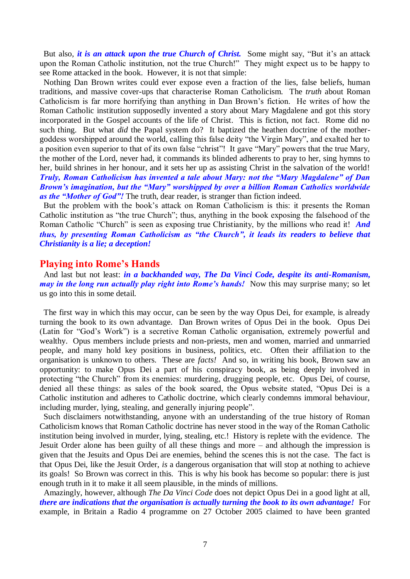But also, *it is an attack upon the true Church of Christ*. Some might say, "But it's an attack upon the Roman Catholic institution, not the true Church!" They might expect us to be happy to see Rome attacked in the book. However, it is not that simple:

 Nothing Dan Brown writes could ever expose even a fraction of the lies, false beliefs, human traditions, and massive cover-ups that characterise Roman Catholicism. The *truth* about Roman Catholicism is far more horrifying than anything in Dan Brown's fiction. He writes of how the Roman Catholic institution supposedly invented a story about Mary Magdalene and got this story incorporated in the Gospel accounts of the life of Christ. This is fiction, not fact. Rome did no such thing. But what *did* the Papal system do? It baptized the heathen doctrine of the mothergoddess worshipped around the world, calling this false deity "the Virgin Mary", and exalted her to a position even superior to that of its own false "christ"! It gave "Mary" powers that the true Mary, the mother of the Lord, never had, it commands its blinded adherents to pray to her, sing hymns to her, build shrines in her honour, and it sets her up as assisting Christ in the salvation of the world! *Truly, Roman Catholicism has invented a tale about Mary: not the "Mary Magdalene" of Dan Brown's imagination, but the "Mary" worshipped by over a billion Roman Catholics worldwide as the "Mother of God"!* The truth, dear reader, is stranger than fiction indeed.

 But the problem with the book's attack on Roman Catholicism is this: it presents the Roman Catholic institution as "the true Church"; thus, anything in the book exposing the falsehood of the Roman Catholic "Church" is seen as exposing true Christianity, by the millions who read it! *And thus, by presenting Roman Catholicism as "the Church", it leads its readers to believe that Christianity is a lie; a deception!*

#### **Playing into Rome's Hands**

 And last but not least: *in a backhanded way, The Da Vinci Code, despite its anti-Romanism, may in the long run actually play right into Rome's hands!* Now this may surprise many; so let us go into this in some detail.

 The first way in which this may occur, can be seen by the way Opus Dei, for example, is already turning the book to its own advantage. Dan Brown writes of Opus Dei in the book. Opus Dei (Latin for "God's Work") is a secretive Roman Catholic organisation, extremely powerful and wealthy. Opus members include priests and non-priests, men and women, married and unmarried people, and many hold key positions in business, politics, etc. Often their affiliation to the organisation is unknown to others. These are *facts!* And so, in writing his book, Brown saw an opportunity: to make Opus Dei a part of his conspiracy book, as being deeply involved in protecting "the Church" from its enemies: murdering, drugging people, etc. Opus Dei, of course, denied all these things: as sales of the book soared, the Opus website stated, "Opus Dei is a Catholic institution and adheres to Catholic doctrine, which clearly condemns immoral behaviour, including murder, lying, stealing, and generally injuring people".

 Such disclaimers notwithstanding, anyone with an understanding of the true history of Roman Catholicism knows that Roman Catholic doctrine has never stood in the way of the Roman Catholic institution being involved in murder, lying, stealing, etc.! History is replete with the evidence. The Jesuit Order alone has been guilty of all these things and more – and although the impression is given that the Jesuits and Opus Dei are enemies, behind the scenes this is not the case. The fact is that Opus Dei, like the Jesuit Order, *is* a dangerous organisation that will stop at nothing to achieve its goals! So Brown was correct in this. This is why his book has become so popular: there is just enough truth in it to make it all seem plausible, in the minds of millions.

 Amazingly, however, although *The Da Vinci Code* does not depict Opus Dei in a good light at all, *there are indications that the organisation is actually turning the book to its own advantage!* For example, in Britain a Radio 4 programme on 27 October 2005 claimed to have been granted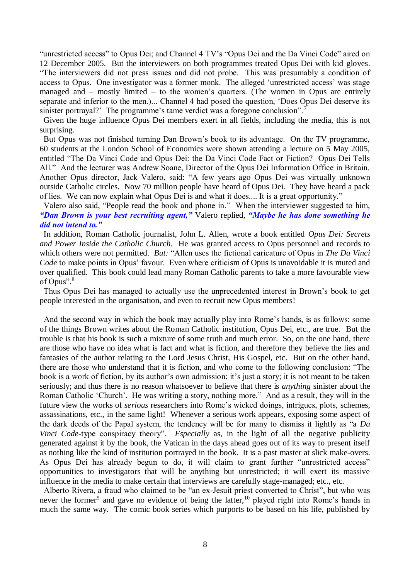"unrestricted access" to Opus Dei; and Channel 4 TV's "Opus Dei and the Da Vinci Code" aired on 12 December 2005. But the interviewers on both programmes treated Opus Dei with kid gloves. "The interviewers did not press issues and did not probe. This was presumably a condition of access to Opus. One investigator was a former monk. The alleged 'unrestricted access' was stage managed and – mostly limited – to the women's quarters. (The women in Opus are entirely separate and inferior to the men.)... Channel 4 had posed the question, 'Does Opus Dei deserve its sinister portrayal?' The programme's tame verdict was a foregone conclusion".<sup>7</sup>

 Given the huge influence Opus Dei members exert in all fields, including the media, this is not surprising.

 But Opus was not finished turning Dan Brown's book to its advantage. On the TV programme, 60 students at the London School of Economics were shown attending a lecture on 5 May 2005, entitled "The Da Vinci Code and Opus Dei: the Da Vinci Code Fact or Fiction? Opus Dei Tells All." And the lecturer was Andrew Soane, Director of the Opus Dei Information Office in Britain. Another Opus director, Jack Valero, said: "A few years ago Opus Dei was virtually unknown outside Catholic circles. Now 70 million people have heard of Opus Dei. They have heard a pack of lies. We can now explain what Opus Dei is and what it does.... It is a great opportunity."

#### Valero also said, "People read the book and phone in." When the interviewer suggested to him, *"Dan Brown is your best recruiting agent,"* Valero replied, *"Maybe he has done something he did not intend to."*

 In addition, Roman Catholic journalist, John L. Allen, wrote a book entitled *Opus Dei: Secrets and Power Inside the Catholic Church.* He was granted access to Opus personnel and records to which others were not permitted. *But:* "Allen uses the fictional caricature of Opus in *The Da Vinci Code* to make points in Opus' favour. Even where criticism of Opus is unavoidable it is muted and over qualified. This book could lead many Roman Catholic parents to take a more favourable view of Opus".<sup>8</sup>

 Thus Opus Dei has managed to actually use the unprecedented interest in Brown's book to get people interested in the organisation, and even to recruit new Opus members!

 And the second way in which the book may actually play into Rome's hands, is as follows: some of the things Brown writes about the Roman Catholic institution, Opus Dei, etc., are true. But the trouble is that his book is such a mixture of some truth and much error. So, on the one hand, there are those who have no idea what is fact and what is fiction, and therefore they believe the lies and fantasies of the author relating to the Lord Jesus Christ, His Gospel, etc. But on the other hand, there are those who understand that it is fiction, and who come to the following conclusion: "The book is a work of fiction, by its author's own admission; it's just a story; it is not meant to be taken seriously; and thus there is no reason whatsoever to believe that there is *anything* sinister about the Roman Catholic 'Church'. He was writing a story, nothing more." And as a result, they will in the future view the works of *serious* researchers into Rome's wicked doings, intrigues, plots, schemes, assassinations, etc., in the same light! Whenever a serious work appears, exposing some aspect of the dark deeds of the Papal system, the tendency will be for many to dismiss it lightly as "a *Da Vinci Code-type conspiracy theory*". *Especially* as, in the light of all the negative publicity generated against it by the book, the Vatican in the days ahead goes out of its way to present itself as nothing like the kind of institution portrayed in the book. It is a past master at slick make-overs. As Opus Dei has already begun to do, it will claim to grant further "unrestricted access" opportunities to investigators that will be anything but unrestricted; it will exert its massive influence in the media to make certain that interviews are carefully stage-managed; etc., etc.

 Alberto Rivera, a fraud who claimed to be "an ex-Jesuit priest converted to Christ", but who was never the former<sup>9</sup> and gave no evidence of being the latter,<sup>10</sup> played right into Rome's hands in much the same way. The comic book series which purports to be based on his life, published by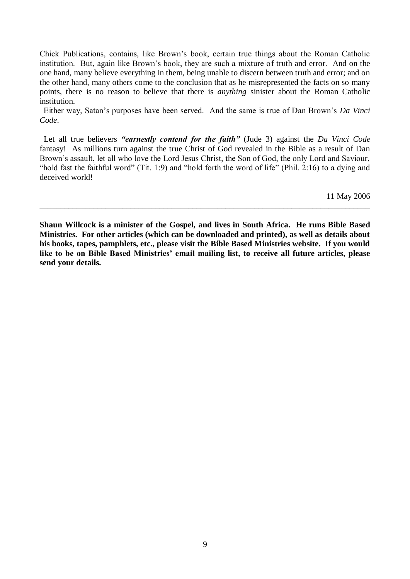Chick Publications, contains, like Brown's book, certain true things about the Roman Catholic institution. But, again like Brown's book, they are such a mixture of truth and error. And on the one hand, many believe everything in them, being unable to discern between truth and error; and on the other hand, many others come to the conclusion that as he misrepresented the facts on so many points, there is no reason to believe that there is *anything* sinister about the Roman Catholic institution.

 Either way, Satan's purposes have been served. And the same is true of Dan Brown's *Da Vinci Code*.

 Let all true believers *"earnestly contend for the faith"* (Jude 3) against the *Da Vinci Code* fantasy! As millions turn against the true Christ of God revealed in the Bible as a result of Dan Brown's assault, let all who love the Lord Jesus Christ, the Son of God, the only Lord and Saviour, "hold fast the faithful word" (Tit. 1:9) and "hold forth the word of life" (Phil. 2:16) to a dying and deceived world!

11 May 2006

**Shaun Willcock is a minister of the Gospel, and lives in South Africa. He runs Bible Based Ministries. For other articles (which can be downloaded and printed), as well as details about his books, tapes, pamphlets, etc., please visit the Bible Based Ministries website. If you would like to be on Bible Based Ministries' email mailing list, to receive all future articles, please send your details.**

\_\_\_\_\_\_\_\_\_\_\_\_\_\_\_\_\_\_\_\_\_\_\_\_\_\_\_\_\_\_\_\_\_\_\_\_\_\_\_\_\_\_\_\_\_\_\_\_\_\_\_\_\_\_\_\_\_\_\_\_\_\_\_\_\_\_\_\_\_\_\_\_\_\_\_\_\_\_\_\_